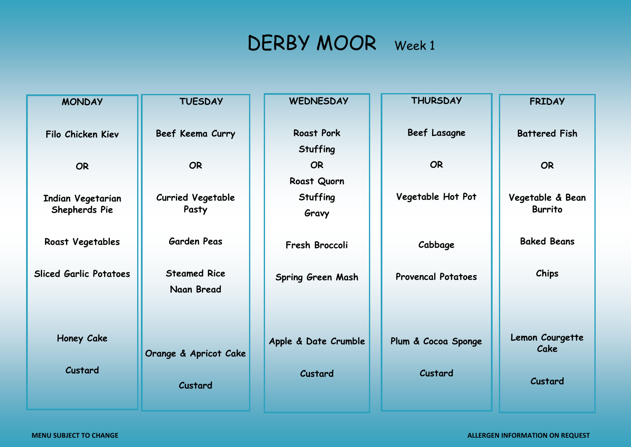## DERBY MOOR Week 1

| <b>MONDAY</b>                 | <b>TUESDAY</b>           | <b>WEDNESDAY</b>         | <b>THURSDAY</b>           | <b>FRIDAY</b>        |
|-------------------------------|--------------------------|--------------------------|---------------------------|----------------------|
|                               |                          |                          |                           |                      |
| Filo Chicken Kiev             | Beef Keema Curry         | <b>Roast Pork</b>        | <b>Beef Lasagne</b>       | <b>Battered Fish</b> |
|                               |                          | <b>Stuffing</b>          |                           |                      |
| <b>OR</b>                     | <b>OR</b>                | <b>OR</b>                | <b>OR</b>                 | <b>OR</b>            |
|                               |                          | Roast Quorn              |                           |                      |
| Indian Vegetarian             | <b>Curried Vegetable</b> | <b>Stuffing</b>          | Vegetable Hot Pot         | Vegetable & Bean     |
| Shepherds Pie                 | Pasty                    | Gravy                    |                           | <b>Burrito</b>       |
|                               | <b>Garden Peas</b>       |                          |                           | <b>Baked Beans</b>   |
| Roast Vegetables              |                          | Fresh Broccoli           | Cabbage                   |                      |
| <b>Sliced Garlic Potatoes</b> | <b>Steamed Rice</b>      |                          |                           | Chips                |
|                               | Naan Bread               | <b>Spring Green Mash</b> | <b>Provencal Potatoes</b> |                      |
|                               |                          |                          |                           |                      |
|                               |                          |                          |                           |                      |
| Honey Cake                    |                          |                          | Plum & Cocoa Sponge       | Lemon Courgette      |
|                               | Orange & Apricot Cake    | Apple & Date Crumble     |                           | Cake                 |
| Custard                       |                          | Custard                  | Custard                   |                      |
|                               | Custard                  |                          |                           | Custard              |
|                               |                          |                          |                           |                      |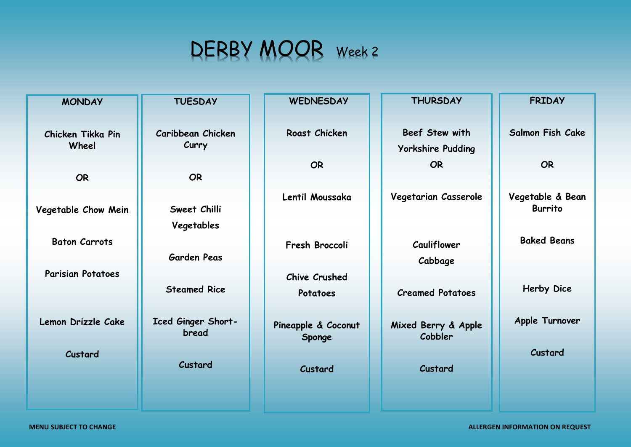## DERBY MOOR Week 2

| <b>MONDAY</b>            | <b>TUESDAY</b>      | <b>WEDNESDAY</b>              | <b>THURSDAY</b>                | <b>FRIDAY</b>                      |
|--------------------------|---------------------|-------------------------------|--------------------------------|------------------------------------|
|                          |                     |                               |                                |                                    |
| Chicken Tikka Pin        | Caribbean Chicken   | Roast Chicken                 | Beef Stew with                 | <b>Salmon Fish Cake</b>            |
| Wheel                    | Curry               |                               | <b>Yorkshire Pudding</b>       |                                    |
|                          |                     | <b>OR</b>                     | <b>OR</b>                      | <b>OR</b>                          |
| <b>OR</b>                | <b>OR</b>           |                               |                                |                                    |
|                          |                     | Lentil Moussaka               | Vegetarian Casserole           | Vegetable & Bean<br><b>Burrito</b> |
| Vegetable Chow Mein      | Sweet Chilli        |                               |                                |                                    |
|                          | Vegetables          |                               |                                | <b>Baked Beans</b>                 |
| <b>Baton Carrots</b>     | <b>Garden Peas</b>  | Fresh Broccoli                | Cauliflower                    |                                    |
|                          |                     |                               | Cabbage                        |                                    |
| <b>Parisian Potatoes</b> | <b>Steamed Rice</b> | <b>Chive Crushed</b>          |                                | Herby Dice                         |
|                          |                     | Potatoes                      | <b>Creamed Potatoes</b>        |                                    |
| Lemon Drizzle Cake       | Iced Ginger Short-  |                               |                                | Apple Turnover                     |
|                          | bread               | Pineapple & Coconut<br>Sponge | Mixed Berry & Apple<br>Cobbler |                                    |
| Custard                  |                     |                               |                                | Custard                            |
|                          | Custard             | Custard                       | Custard                        |                                    |
|                          |                     |                               |                                |                                    |
|                          |                     |                               |                                |                                    |

**MENU SUBJECT TO CHANGE ALLERGEN INFORMATION ON REQUEST**